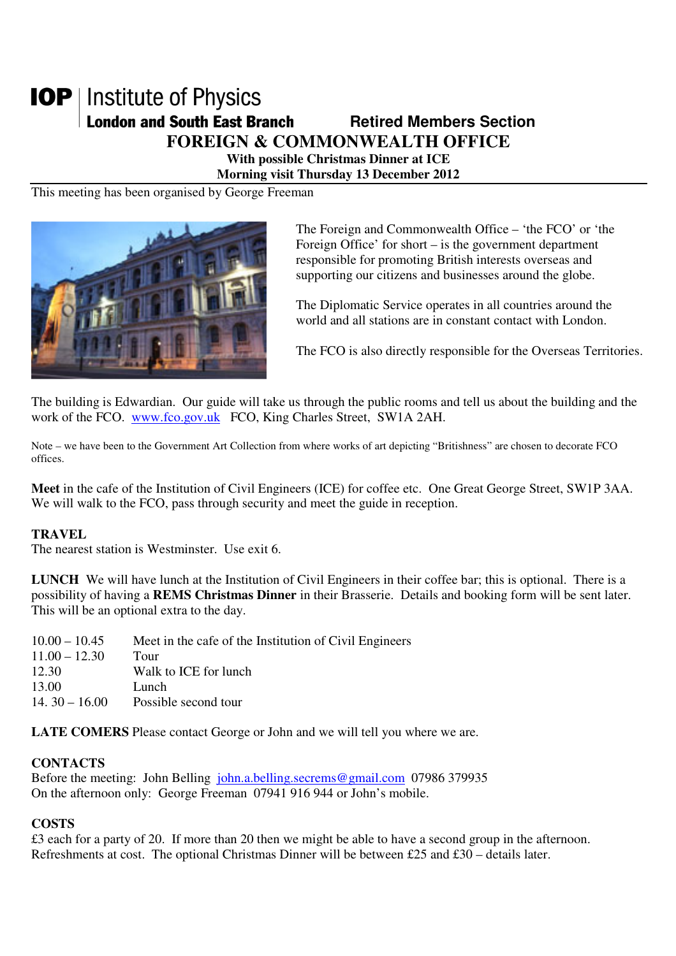## **IOP** | Institute of Physics **London and South East Branch Fig. 2.1 Retired Members Section FOREIGN & COMMONWEALTH OFFICE With possible Christmas Dinner at ICE**

**Morning visit Thursday 13 December 2012** 

This meeting has been organised by George Freeman



The Foreign and Commonwealth Office – 'the FCO' or 'the Foreign Office' for short – is the government department responsible for promoting British interests overseas and supporting our citizens and businesses around the globe.

The Diplomatic Service operates in all countries around the world and all stations are in constant contact with London.

The FCO is also directly responsible for the Overseas Territories.

The building is Edwardian. Our guide will take us through the public rooms and tell us about the building and the work of the FCO. www.fco.gov.uk FCO, King Charles Street, SW1A 2AH.

Note – we have been to the Government Art Collection from where works of art depicting "Britishness" are chosen to decorate FCO offices.

**Meet** in the cafe of the Institution of Civil Engineers (ICE) for coffee etc. One Great George Street, SW1P 3AA. We will walk to the FCO, pass through security and meet the guide in reception.

## **TRAVEL**

The nearest station is Westminster. Use exit 6.

**LUNCH** We will have lunch at the Institution of Civil Engineers in their coffee bar; this is optional. There is a possibility of having a **REMS Christmas Dinner** in their Brasserie. Details and booking form will be sent later. This will be an optional extra to the day.

| $10.00 - 10.45$ | Meet in the cafe of the Institution of Civil Engineers |
|-----------------|--------------------------------------------------------|
| $11.00 - 12.30$ | Tour                                                   |
| 12.30           | Walk to ICE for lunch                                  |
| 13.00           | Lunch.                                                 |
| $14.30 - 16.00$ | Possible second tour                                   |
|                 |                                                        |

**LATE COMERS** Please contact George or John and we will tell you where we are.

## **CONTACTS**

Before the meeting: John Belling john.a.belling.secrems@gmail.com 07986 379935 On the afternoon only: George Freeman 07941 916 944 or John's mobile.

## **COSTS**

£3 each for a party of 20. If more than 20 then we might be able to have a second group in the afternoon. Refreshments at cost. The optional Christmas Dinner will be between £25 and £30 – details later.